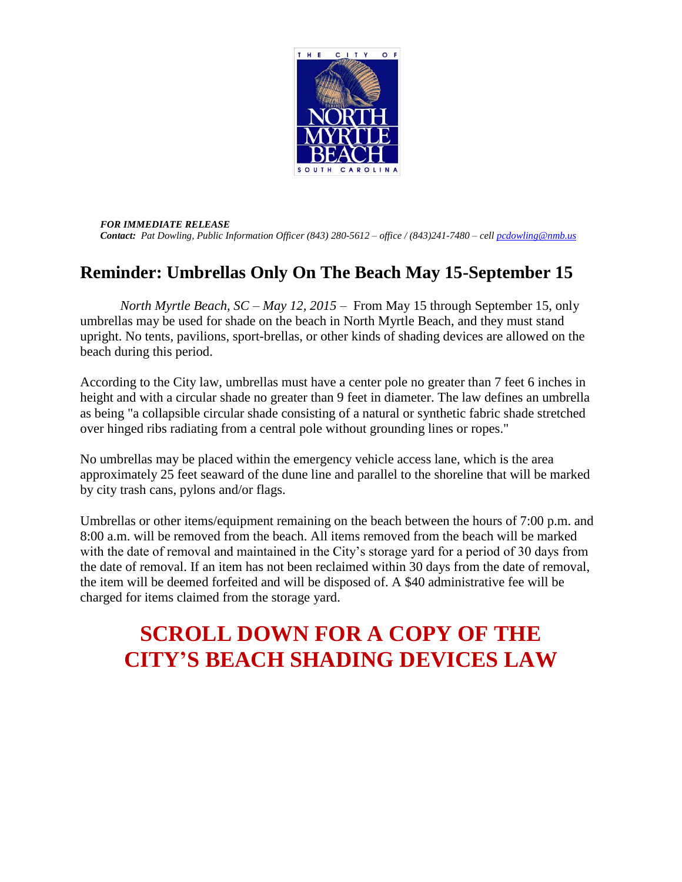

*FOR IMMEDIATE RELEASE Contact: Pat Dowling, Public Information Officer (843) 280-5612 – office / (843)241-7480 – cell [pcdowling@nmb.us](mailto:pcdowling@nmb.us)* 

## **Reminder: Umbrellas Only On The Beach May 15-September 15**

*North Myrtle Beach, SC – May 12, 2015 –* From May 15 through September 15, only umbrellas may be used for shade on the beach in North Myrtle Beach, and they must stand upright. No tents, pavilions, sport-brellas, or other kinds of shading devices are allowed on the beach during this period.

According to the City law, umbrellas must have a center pole no greater than 7 feet 6 inches in height and with a circular shade no greater than 9 feet in diameter. The law defines an umbrella as being "a collapsible circular shade consisting of a natural or synthetic fabric shade stretched over hinged ribs radiating from a central pole without grounding lines or ropes."

No umbrellas may be placed within the emergency vehicle access lane, which is the area approximately 25 feet seaward of the dune line and parallel to the shoreline that will be marked by city trash cans, pylons and/or flags.

Umbrellas or other items/equipment remaining on the beach between the hours of 7:00 p.m. and 8:00 a.m. will be removed from the beach. All items removed from the beach will be marked with the date of removal and maintained in the City's storage yard for a period of 30 days from the date of removal. If an item has not been reclaimed within 30 days from the date of removal, the item will be deemed forfeited and will be disposed of. A \$40 administrative fee will be charged for items claimed from the storage yard.

## **SCROLL DOWN FOR A COPY OF THE CITY'S BEACH SHADING DEVICES LAW**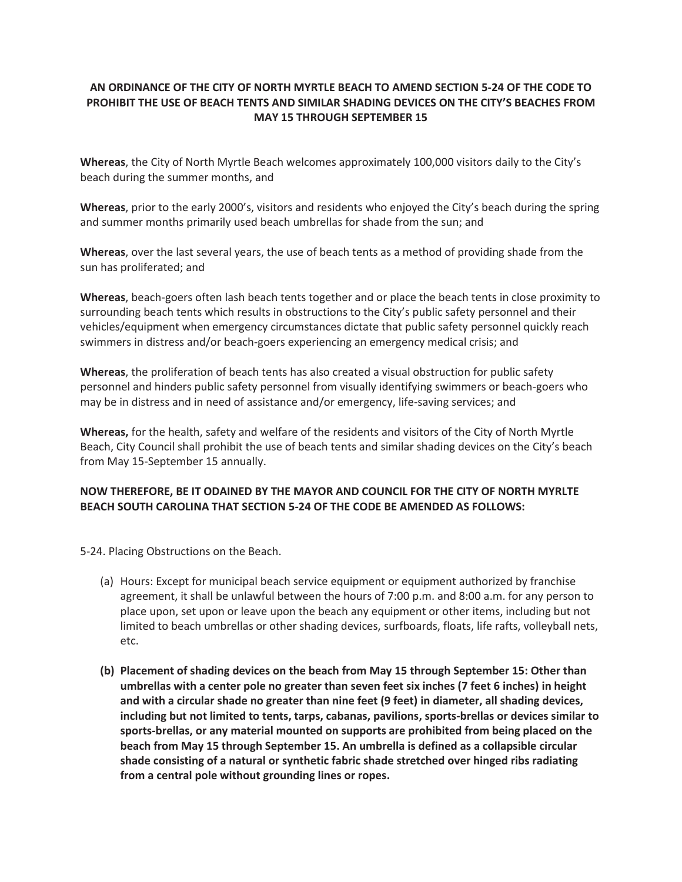## **AN ORDINANCE OF THE CITY OF NORTH MYRTLE BEACH TO AMEND SECTION 5-24 OF THE CODE TO PROHIBIT THE USE OF BEACH TENTS AND SIMILAR SHADING DEVICES ON THE CITY'S BEACHES FROM MAY 15 THROUGH SEPTEMBER 15**

**Whereas**, the City of North Myrtle Beach welcomes approximately 100,000 visitors daily to the City's beach during the summer months, and

**Whereas**, prior to the early 2000's, visitors and residents who enjoyed the City's beach during the spring and summer months primarily used beach umbrellas for shade from the sun; and

**Whereas**, over the last several years, the use of beach tents as a method of providing shade from the sun has proliferated; and

**Whereas**, beach-goers often lash beach tents together and or place the beach tents in close proximity to surrounding beach tents which results in obstructions to the City's public safety personnel and their vehicles/equipment when emergency circumstances dictate that public safety personnel quickly reach swimmers in distress and/or beach-goers experiencing an emergency medical crisis; and

**Whereas**, the proliferation of beach tents has also created a visual obstruction for public safety personnel and hinders public safety personnel from visually identifying swimmers or beach-goers who may be in distress and in need of assistance and/or emergency, life-saving services; and

**Whereas,** for the health, safety and welfare of the residents and visitors of the City of North Myrtle Beach, City Council shall prohibit the use of beach tents and similar shading devices on the City's beach from May 15-September 15 annually.

## **NOW THEREFORE, BE IT ODAINED BY THE MAYOR AND COUNCIL FOR THE CITY OF NORTH MYRLTE BEACH SOUTH CAROLINA THAT SECTION 5-24 OF THE CODE BE AMENDED AS FOLLOWS:**

5-24. Placing Obstructions on the Beach.

- (a) Hours: Except for municipal beach service equipment or equipment authorized by franchise agreement, it shall be unlawful between the hours of 7:00 p.m. and 8:00 a.m. for any person to place upon, set upon or leave upon the beach any equipment or other items, including but not limited to beach umbrellas or other shading devices, surfboards, floats, life rafts, volleyball nets, etc.
- **(b) Placement of shading devices on the beach from May 15 through September 15: Other than umbrellas with a center pole no greater than seven feet six inches (7 feet 6 inches) in height and with a circular shade no greater than nine feet (9 feet) in diameter, all shading devices, including but not limited to tents, tarps, cabanas, pavilions, sports-brellas or devices similar to sports-brellas, or any material mounted on supports are prohibited from being placed on the beach from May 15 through September 15. An umbrella is defined as a collapsible circular shade consisting of a natural or synthetic fabric shade stretched over hinged ribs radiating from a central pole without grounding lines or ropes.**